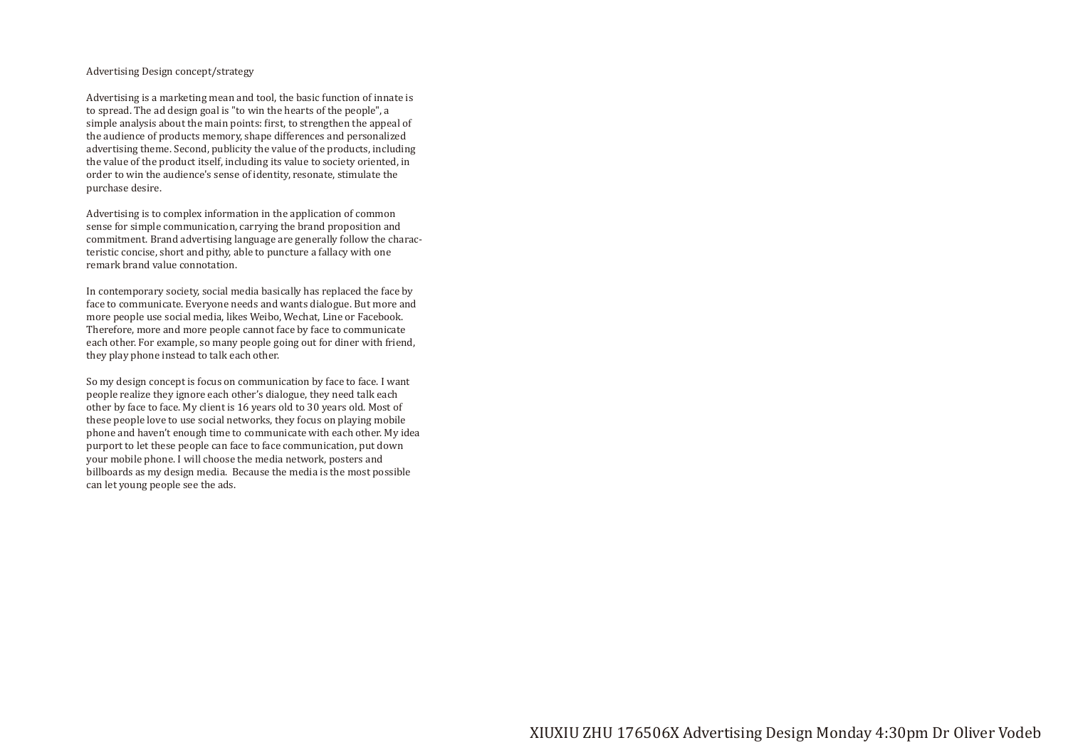# Advertising Design concept/strategy

Advertising is a marketing mean and tool, the basic function of innate is to spread. The ad design goal is "to win the hearts of the people", a simple analysis about the main points: first, to strengthen the appeal of the audience of products memory, shape differences and personalized advertising theme. Second, publicity the value of the products, including the value of the product itself, including its value to society oriented, in order to win the audience's sense of identity, resonate, stimulate the purchase desire.

Advertising is to complex information in the application of common sense for simple communication, carrying the brand proposition and commitment. Brand advertising language are generally follow the characteristic concise, short and pithy, able to puncture a fallacy with one remark brand value connotation.

In contemporary society, social media basically has replaced the face by face to communicate. Everyone needs and wants dialogue. But more and more people use social media, likes Weibo, Wechat, Line or Facebook. Therefore, more and more people cannot face by face to communicate each other. For example, so many people going out for diner with friend, they play phone instead to talk each other.

So my design concept is focus on communication by face to face. I want people realize they ignore each other's dialogue, they need talk each other by face to face. My client is 16 years old to 30 years old. Most of these people love to use social networks, they focus on playing mobile phone and haven't enough time to communicate with each other. My idea purport to let these people can face to face communication, put down your mobile phone. I will choose the media network, posters and billboards as my design media. Because the media is the most possible can let young people see the ads.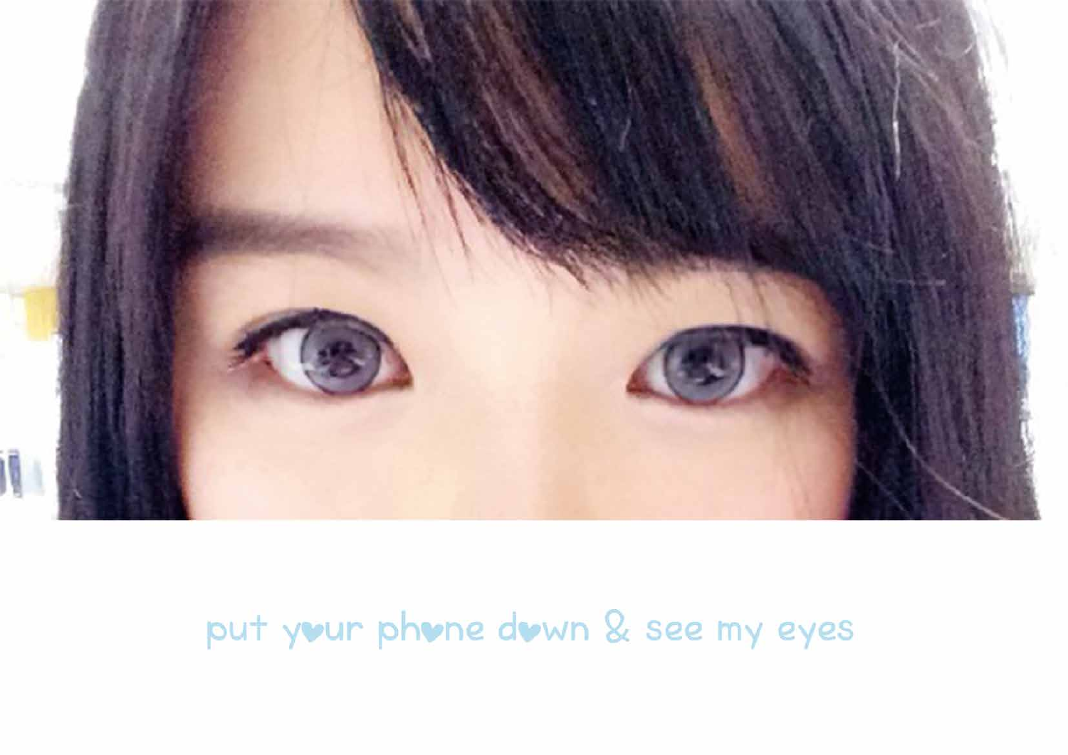

# put your phone down & see my eyes

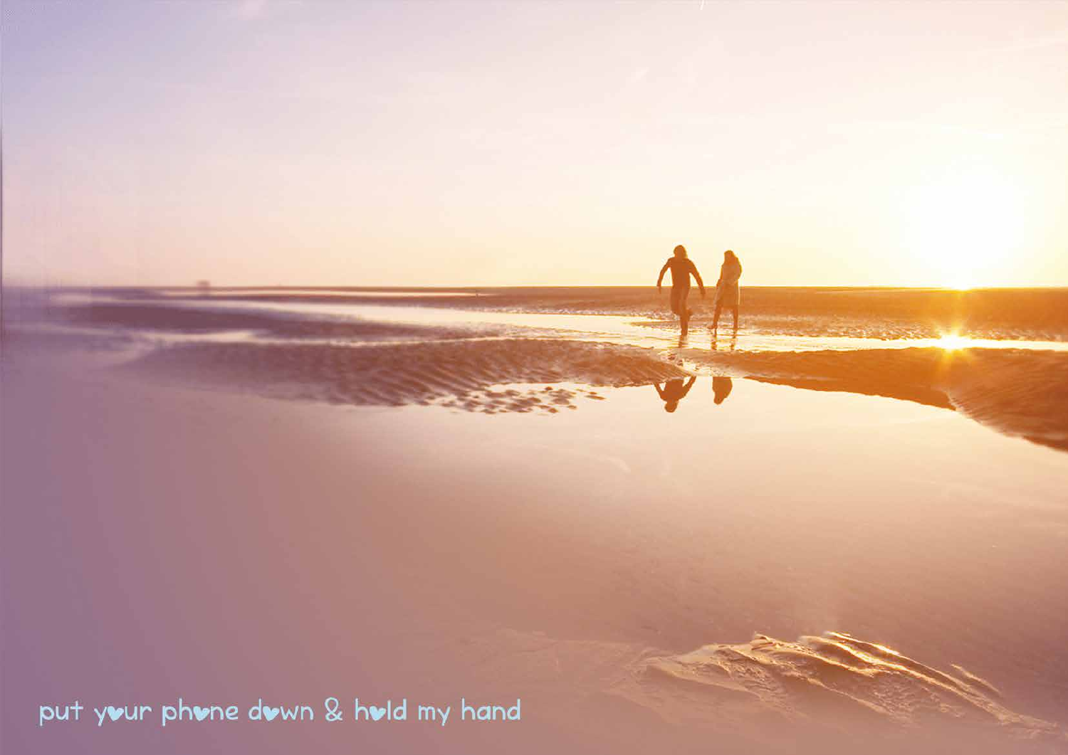put your phone down & hold my hand

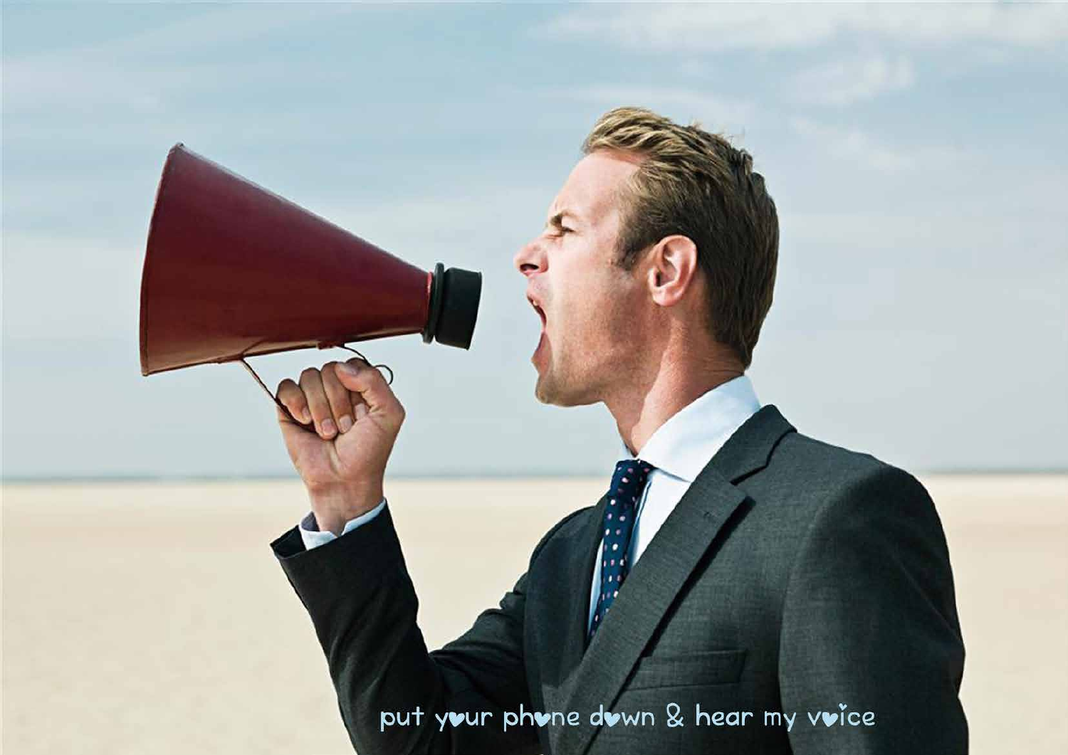put your phone down & hear my voice